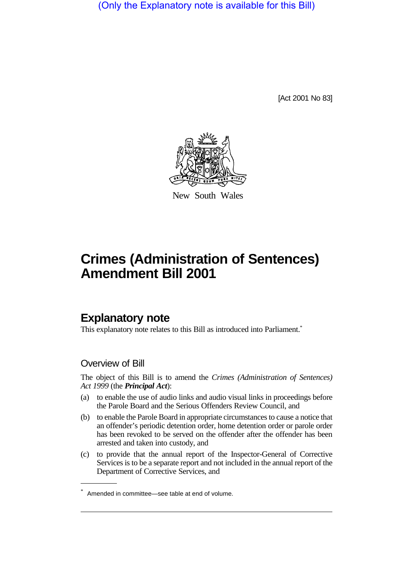(Only the Explanatory note is available for this Bill)

[Act 2001 No 83]



New South Wales

# **Crimes (Administration of Sentences) Amendment Bill 2001**

## **Explanatory note**

This explanatory note relates to this Bill as introduced into Parliament.<sup>\*</sup>

### Overview of Bill

The object of this Bill is to amend the *Crimes (Administration of Sentences) Act 1999* (the *Principal Act*):

- (a) to enable the use of audio links and audio visual links in proceedings before the Parole Board and the Serious Offenders Review Council, and
- (b) to enable the Parole Board in appropriate circumstances to cause a notice that an offender's periodic detention order, home detention order or parole order has been revoked to be served on the offender after the offender has been arrested and taken into custody, and
- (c) to provide that the annual report of the Inspector-General of Corrective Services is to be a separate report and not included in the annual report of the Department of Corrective Services, and

<sup>\*</sup> Amended in committee—see table at end of volume.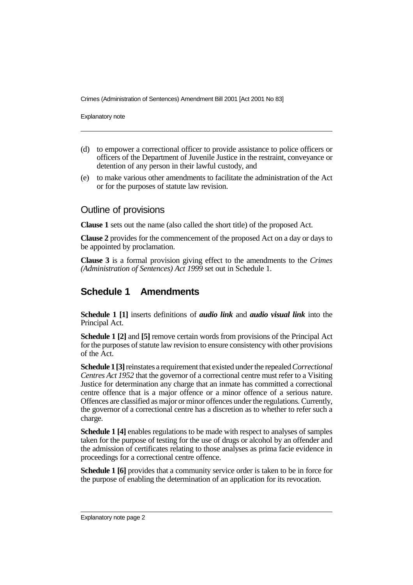Crimes (Administration of Sentences) Amendment Bill 2001 [Act 2001 No 83]

Explanatory note

- (d) to empower a correctional officer to provide assistance to police officers or officers of the Department of Juvenile Justice in the restraint, conveyance or detention of any person in their lawful custody, and
- (e) to make various other amendments to facilitate the administration of the Act or for the purposes of statute law revision.

### Outline of provisions

**Clause 1** sets out the name (also called the short title) of the proposed Act.

**Clause 2** provides for the commencement of the proposed Act on a day or days to be appointed by proclamation.

**Clause 3** is a formal provision giving effect to the amendments to the *Crimes (Administration of Sentences) Act 1999* set out in Schedule 1.

## **Schedule 1 Amendments**

**Schedule 1 [1]** inserts definitions of *audio link* and *audio visual link* into the Principal Act.

**Schedule 1 [2]** and **[5]** remove certain words from provisions of the Principal Act for the purposes of statute law revision to ensure consistency with other provisions of the Act.

**Schedule 1 [3]** reinstates a requirement that existed under the repealed *Correctional Centres Act 1952* that the governor of a correctional centre must refer to a Visiting Justice for determination any charge that an inmate has committed a correctional centre offence that is a major offence or a minor offence of a serious nature. Offences are classified as major or minor offences under the regulations. Currently, the governor of a correctional centre has a discretion as to whether to refer such a charge.

**Schedule 1 [4]** enables regulations to be made with respect to analyses of samples taken for the purpose of testing for the use of drugs or alcohol by an offender and the admission of certificates relating to those analyses as prima facie evidence in proceedings for a correctional centre offence.

**Schedule 1 [6]** provides that a community service order is taken to be in force for the purpose of enabling the determination of an application for its revocation.